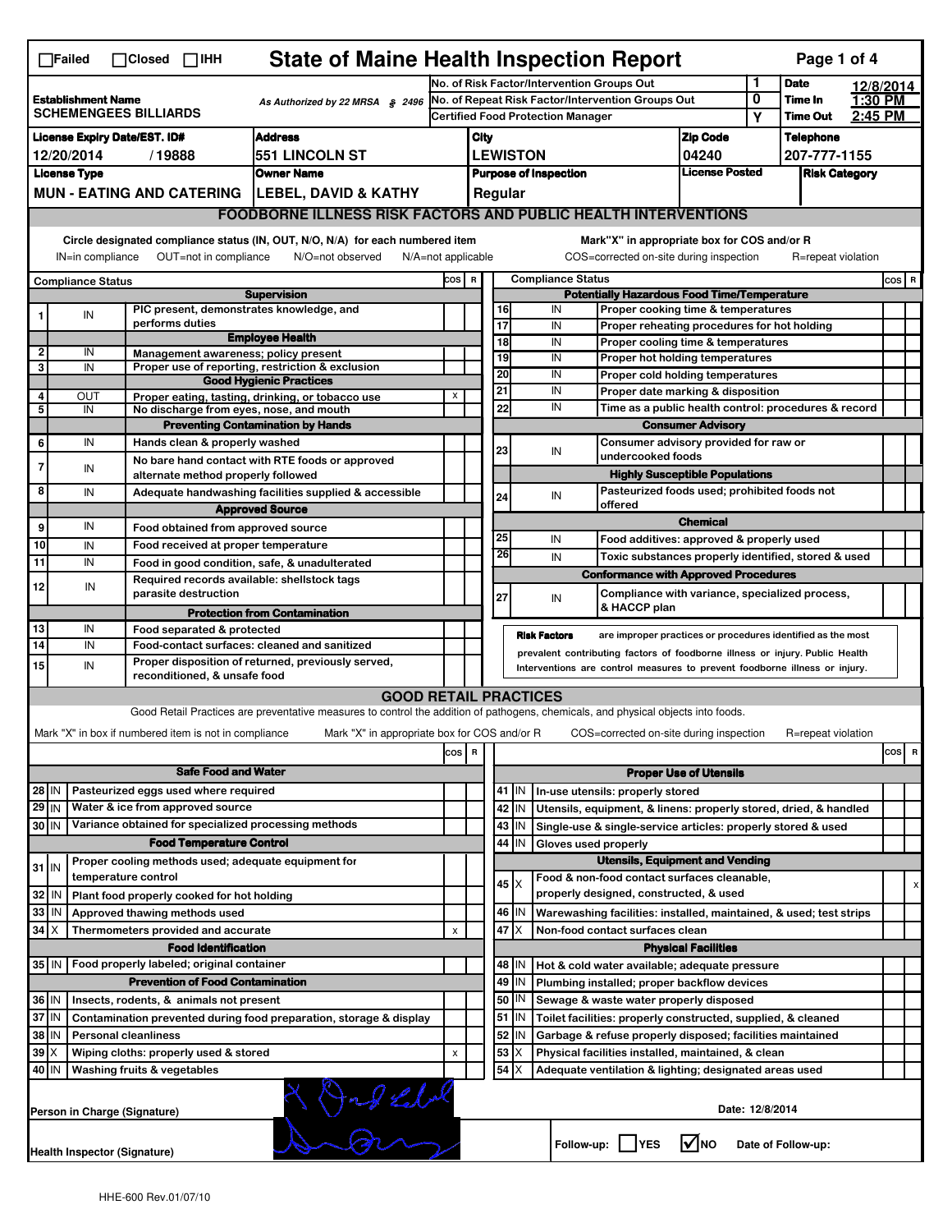| <b>State of Maine Health Inspection Report</b><br>Page 1 of 4<br>$\Box$ Failed<br>$\Box$ Closed $\Box$ IHH                                                                                                                                                                                |                                                                                                          |                                                                             |                                                                                                                                   |                                                       |                                            |                                                                                       |                                       |                                                    |                                                                              |                               |                 |                    |           |     |   |
|-------------------------------------------------------------------------------------------------------------------------------------------------------------------------------------------------------------------------------------------------------------------------------------------|----------------------------------------------------------------------------------------------------------|-----------------------------------------------------------------------------|-----------------------------------------------------------------------------------------------------------------------------------|-------------------------------------------------------|--------------------------------------------|---------------------------------------------------------------------------------------|---------------------------------------|----------------------------------------------------|------------------------------------------------------------------------------|-------------------------------|-----------------|--------------------|-----------|-----|---|
|                                                                                                                                                                                                                                                                                           |                                                                                                          |                                                                             |                                                                                                                                   |                                                       | No. of Risk Factor/Intervention Groups Out |                                                                                       |                                       |                                                    |                                                                              |                               | 1               | <b>Date</b>        | 12/8/2014 |     |   |
| <b>Establishment Name</b><br>As Authorized by 22 MRSA § 2496                                                                                                                                                                                                                              |                                                                                                          |                                                                             |                                                                                                                                   | No. of Repeat Risk Factor/Intervention Groups Out     |                                            |                                                                                       |                                       |                                                    | 0                                                                            | Time In                       | 1:30 PM         |                    |           |     |   |
| <b>SCHEMENGEES BILLIARDS</b>                                                                                                                                                                                                                                                              |                                                                                                          |                                                                             |                                                                                                                                   |                                                       | <b>Certified Food Protection Manager</b>   |                                                                                       |                                       |                                                    |                                                                              | Υ                             | <b>Time Out</b> | 2:45 PM            |           |     |   |
| <b>License Expiry Date/EST. ID#</b><br><b>Address</b>                                                                                                                                                                                                                                     |                                                                                                          |                                                                             |                                                                                                                                   |                                                       | <b>Zip Code</b><br>City                    |                                                                                       |                                       |                                                    |                                                                              | <b>Telephone</b>              |                 |                    |           |     |   |
| 551 LINCOLN ST<br>12/20/2014<br>/19888                                                                                                                                                                                                                                                    |                                                                                                          |                                                                             |                                                                                                                                   |                                                       |                                            | <b>LEWISTON</b><br>04240                                                              |                                       |                                                    |                                                                              | 207-777-1155                  |                 |                    |           |     |   |
| <b>License Type</b><br><b>Owner Name</b>                                                                                                                                                                                                                                                  |                                                                                                          |                                                                             |                                                                                                                                   | <b>License Posted</b><br><b>Purpose of Inspection</b> |                                            |                                                                                       |                                       | <b>Risk Category</b>                               |                                                                              |                               |                 |                    |           |     |   |
|                                                                                                                                                                                                                                                                                           | MUN - EATING AND CATERING   LEBEL, DAVID & KATHY                                                         |                                                                             |                                                                                                                                   |                                                       |                                            |                                                                                       | Regular                               |                                                    |                                                                              |                               |                 |                    |           |     |   |
|                                                                                                                                                                                                                                                                                           |                                                                                                          |                                                                             | <b>FOODBORNE ILLNESS RISK FACTORS AND PUBLIC HEALTH INTERVENTIONS</b>                                                             |                                                       |                                            |                                                                                       |                                       |                                                    |                                                                              |                               |                 |                    |           |     |   |
| Circle designated compliance status (IN, OUT, N/O, N/A) for each numbered item<br>Mark"X" in appropriate box for COS and/or R<br>OUT=not in compliance<br>COS=corrected on-site during inspection<br>IN=in compliance<br>N/O=not observed<br>$N/A = not$ applicable<br>R=repeat violation |                                                                                                          |                                                                             |                                                                                                                                   |                                                       |                                            |                                                                                       |                                       |                                                    |                                                                              |                               |                 |                    |           |     |   |
| <b>Compliance Status</b><br>COS R                                                                                                                                                                                                                                                         |                                                                                                          |                                                                             |                                                                                                                                   |                                                       |                                            |                                                                                       |                                       |                                                    |                                                                              | $cos$ R                       |                 |                    |           |     |   |
| <b>Compliance Status</b><br><b>Supervision</b>                                                                                                                                                                                                                                            |                                                                                                          |                                                                             |                                                                                                                                   |                                                       |                                            | <b>Potentially Hazardous Food Time/Temperature</b>                                    |                                       |                                                    |                                                                              |                               |                 |                    |           |     |   |
|                                                                                                                                                                                                                                                                                           | IN                                                                                                       | PIC present, demonstrates knowledge, and                                    |                                                                                                                                   |                                                       |                                            |                                                                                       | 16                                    | IN                                                 | Proper cooking time & temperatures                                           |                               |                 |                    |           |     |   |
|                                                                                                                                                                                                                                                                                           |                                                                                                          | performs duties                                                             | <b>Employee Health</b>                                                                                                            |                                                       |                                            |                                                                                       | $\overline{17}$                       | IN                                                 | Proper reheating procedures for hot holding                                  |                               |                 |                    |           |     |   |
| $\overline{2}$                                                                                                                                                                                                                                                                            | IN                                                                                                       | Management awareness; policy present                                        |                                                                                                                                   |                                                       |                                            |                                                                                       | $\overline{18}$<br>19                 | IN<br>IN                                           | Proper cooling time & temperatures<br>Proper hot holding temperatures        |                               |                 |                    |           |     |   |
| 3                                                                                                                                                                                                                                                                                         | IN                                                                                                       |                                                                             | Proper use of reporting, restriction & exclusion                                                                                  |                                                       |                                            |                                                                                       | 20                                    | IN                                                 |                                                                              |                               |                 |                    |           |     |   |
|                                                                                                                                                                                                                                                                                           |                                                                                                          |                                                                             | <b>Good Hygienic Practices</b>                                                                                                    |                                                       |                                            | 21                                                                                    |                                       | IN                                                 | Proper cold holding temperatures<br>Proper date marking & disposition        |                               |                 |                    |           |     |   |
| 4<br>5                                                                                                                                                                                                                                                                                    | OUT<br>IN                                                                                                | No discharge from eyes, nose, and mouth                                     | Proper eating, tasting, drinking, or tobacco use                                                                                  | х                                                     |                                            |                                                                                       | 22                                    | IN                                                 | Time as a public health control: procedures & record                         |                               |                 |                    |           |     |   |
|                                                                                                                                                                                                                                                                                           |                                                                                                          |                                                                             | <b>Preventing Contamination by Hands</b>                                                                                          |                                                       |                                            |                                                                                       |                                       |                                                    |                                                                              | <b>Consumer Advisory</b>      |                 |                    |           |     |   |
| 6                                                                                                                                                                                                                                                                                         | IN                                                                                                       | Hands clean & properly washed                                               |                                                                                                                                   |                                                       |                                            |                                                                                       | Consumer advisory provided for raw or |                                                    |                                                                              |                               |                 |                    |           |     |   |
|                                                                                                                                                                                                                                                                                           |                                                                                                          |                                                                             | No bare hand contact with RTE foods or approved                                                                                   |                                                       |                                            |                                                                                       | 23                                    | IN<br>undercooked foods                            |                                                                              |                               |                 |                    |           |     |   |
| 7                                                                                                                                                                                                                                                                                         | IN                                                                                                       | alternate method properly followed                                          |                                                                                                                                   |                                                       |                                            |                                                                                       |                                       |                                                    | <b>Highly Susceptible Populations</b>                                        |                               |                 |                    |           |     |   |
| 8                                                                                                                                                                                                                                                                                         | IN                                                                                                       |                                                                             | Adequate handwashing facilities supplied & accessible                                                                             |                                                       |                                            |                                                                                       | 24                                    | Pasteurized foods used; prohibited foods not<br>IN |                                                                              |                               |                 |                    |           |     |   |
|                                                                                                                                                                                                                                                                                           |                                                                                                          |                                                                             | <b>Approved Source</b>                                                                                                            |                                                       |                                            |                                                                                       |                                       |                                                    | offered                                                                      |                               |                 |                    |           |     |   |
| 9                                                                                                                                                                                                                                                                                         | IN                                                                                                       | Food obtained from approved source                                          |                                                                                                                                   |                                                       |                                            |                                                                                       |                                       |                                                    |                                                                              | <b>Chemical</b>               |                 |                    |           |     |   |
| 10                                                                                                                                                                                                                                                                                        | IN                                                                                                       | Food received at proper temperature                                         |                                                                                                                                   |                                                       |                                            |                                                                                       | 25<br>26                              | IN                                                 | Food additives: approved & properly used                                     |                               |                 |                    |           |     |   |
| 11                                                                                                                                                                                                                                                                                        | IN                                                                                                       |                                                                             | Food in good condition, safe, & unadulterated                                                                                     |                                                       |                                            |                                                                                       |                                       | IN                                                 | Toxic substances properly identified, stored & used                          |                               |                 |                    |           |     |   |
| 12                                                                                                                                                                                                                                                                                        | IN                                                                                                       | Required records available: shellstock tags                                 |                                                                                                                                   |                                                       |                                            |                                                                                       |                                       |                                                    | <b>Conformance with Approved Procedures</b>                                  |                               |                 |                    |           |     |   |
|                                                                                                                                                                                                                                                                                           |                                                                                                          | parasite destruction                                                        |                                                                                                                                   |                                                       |                                            |                                                                                       | 27                                    | IN                                                 | Compliance with variance, specialized process,                               |                               |                 |                    |           |     |   |
|                                                                                                                                                                                                                                                                                           |                                                                                                          |                                                                             | <b>Protection from Contamination</b>                                                                                              |                                                       |                                            |                                                                                       |                                       |                                                    | & HACCP plan                                                                 |                               |                 |                    |           |     |   |
| 13                                                                                                                                                                                                                                                                                        | IN                                                                                                       | Food separated & protected                                                  |                                                                                                                                   |                                                       |                                            |                                                                                       | <b>Risk Factors</b>                   |                                                    | are improper practices or procedures identified as the most                  |                               |                 |                    |           |     |   |
| $\overline{14}$                                                                                                                                                                                                                                                                           | IN                                                                                                       |                                                                             | Food-contact surfaces: cleaned and sanitized<br>Proper disposition of returned, previously served,                                |                                                       |                                            |                                                                                       |                                       |                                                    | prevalent contributing factors of foodborne illness or injury. Public Health |                               |                 |                    |           |     |   |
| 15                                                                                                                                                                                                                                                                                        | IN                                                                                                       | reconditioned, & unsafe food                                                |                                                                                                                                   |                                                       |                                            |                                                                                       |                                       |                                                    | Interventions are control measures to prevent foodborne illness or injury.   |                               |                 |                    |           |     |   |
|                                                                                                                                                                                                                                                                                           |                                                                                                          |                                                                             | <b>GOOD RETAIL PRACTICES</b>                                                                                                      |                                                       |                                            |                                                                                       |                                       |                                                    |                                                                              |                               |                 |                    |           |     |   |
|                                                                                                                                                                                                                                                                                           |                                                                                                          |                                                                             | Good Retail Practices are preventative measures to control the addition of pathogens, chemicals, and physical objects into foods. |                                                       |                                            |                                                                                       |                                       |                                                    |                                                                              |                               |                 |                    |           |     |   |
|                                                                                                                                                                                                                                                                                           |                                                                                                          | Mark "X" in box if numbered item is not in compliance                       | Mark "X" in appropriate box for COS and/or R                                                                                      |                                                       |                                            |                                                                                       |                                       |                                                    | COS=corrected on-site during inspection                                      |                               |                 | R=repeat violation |           |     |   |
|                                                                                                                                                                                                                                                                                           |                                                                                                          |                                                                             |                                                                                                                                   |                                                       | R                                          |                                                                                       |                                       |                                                    |                                                                              |                               |                 |                    |           | cos | R |
|                                                                                                                                                                                                                                                                                           |                                                                                                          |                                                                             |                                                                                                                                   | cos                                                   |                                            |                                                                                       |                                       |                                                    |                                                                              |                               |                 |                    |           |     |   |
|                                                                                                                                                                                                                                                                                           |                                                                                                          | <b>Safe Food and Water</b>                                                  |                                                                                                                                   |                                                       |                                            |                                                                                       |                                       |                                                    |                                                                              | <b>Proper Use of Utensils</b> |                 |                    |           |     |   |
| 28 IN                                                                                                                                                                                                                                                                                     |                                                                                                          | Pasteurized eggs used where required<br>Water & ice from approved source    |                                                                                                                                   |                                                       |                                            |                                                                                       | 41   IN                               |                                                    | In-use utensils: properly stored                                             |                               |                 |                    |           |     |   |
| 29 IN                                                                                                                                                                                                                                                                                     |                                                                                                          |                                                                             |                                                                                                                                   |                                                       |                                            |                                                                                       | 42 IN                                 |                                                    | Utensils, equipment, & linens: properly stored, dried, & handled             |                               |                 |                    |           |     |   |
| Variance obtained for specialized processing methods<br>30 IN                                                                                                                                                                                                                             |                                                                                                          |                                                                             |                                                                                                                                   |                                                       |                                            |                                                                                       | 43   IN                               |                                                    | Single-use & single-service articles: properly stored & used                 |                               |                 |                    |           |     |   |
|                                                                                                                                                                                                                                                                                           |                                                                                                          | <b>Food Temperature Control</b>                                             |                                                                                                                                   |                                                       |                                            |                                                                                       | 44<br>İIN                             | Gloves used properly                               |                                                                              |                               |                 |                    |           |     |   |
| $31$ IN                                                                                                                                                                                                                                                                                   |                                                                                                          | Proper cooling methods used; adequate equipment for<br>temperature control  |                                                                                                                                   |                                                       |                                            | <b>Utensils, Equipment and Vending</b><br>Food & non-food contact surfaces cleanable, |                                       |                                                    |                                                                              |                               |                 |                    |           |     |   |
| 32                                                                                                                                                                                                                                                                                        | IN                                                                                                       |                                                                             |                                                                                                                                   |                                                       |                                            |                                                                                       | 45 X                                  |                                                    | properly designed, constructed, & used                                       |                               |                 |                    |           |     | x |
| 33                                                                                                                                                                                                                                                                                        | IN                                                                                                       | Plant food properly cooked for hot holding<br>Approved thawing methods used |                                                                                                                                   |                                                       |                                            |                                                                                       | 46   IN                               |                                                    | Warewashing facilities: installed, maintained, & used; test strips           |                               |                 |                    |           |     |   |
| 34   X                                                                                                                                                                                                                                                                                    |                                                                                                          | Thermometers provided and accurate                                          |                                                                                                                                   | x                                                     |                                            |                                                                                       | 47 I X                                |                                                    |                                                                              |                               |                 |                    |           |     |   |
|                                                                                                                                                                                                                                                                                           |                                                                                                          | <b>Food Identification</b>                                                  |                                                                                                                                   |                                                       |                                            | Non-food contact surfaces clean<br><b>Physical Facilities</b>                         |                                       |                                                    |                                                                              |                               |                 |                    |           |     |   |
|                                                                                                                                                                                                                                                                                           |                                                                                                          |                                                                             |                                                                                                                                   |                                                       |                                            |                                                                                       | 48   IN                               |                                                    | Hot & cold water available; adequate pressure                                |                               |                 |                    |           |     |   |
| Food properly labeled; original container<br>35   IN<br><b>Prevention of Food Contamination</b>                                                                                                                                                                                           |                                                                                                          |                                                                             |                                                                                                                                   |                                                       |                                            | 49 IN                                                                                 |                                       | Plumbing installed; proper backflow devices        |                                                                              |                               |                 |                    |           |     |   |
| 36 IN                                                                                                                                                                                                                                                                                     |                                                                                                          | Insects, rodents, & animals not present                                     |                                                                                                                                   |                                                       |                                            |                                                                                       | 50   IN                               |                                                    | Sewage & waste water properly disposed                                       |                               |                 |                    |           |     |   |
| $37$ IN                                                                                                                                                                                                                                                                                   |                                                                                                          |                                                                             |                                                                                                                                   |                                                       |                                            |                                                                                       | 51 J IN                               |                                                    | Toilet facilities: properly constructed, supplied, & cleaned                 |                               |                 |                    |           |     |   |
| Contamination prevented during food preparation, storage & display<br>38<br>IN                                                                                                                                                                                                            |                                                                                                          |                                                                             |                                                                                                                                   |                                                       |                                            |                                                                                       | 52 IN                                 |                                                    |                                                                              |                               |                 |                    |           |     |   |
| <b>Personal cleanliness</b><br>Garbage & refuse properly disposed; facilities maintained<br>39 X<br>$53 \times$<br>Wiping cloths: properly used & stored<br>Physical facilities installed, maintained, & clean<br>X                                                                       |                                                                                                          |                                                                             |                                                                                                                                   |                                                       |                                            |                                                                                       |                                       |                                                    |                                                                              |                               |                 |                    |           |     |   |
|                                                                                                                                                                                                                                                                                           | 54   X<br>40 IN<br>Washing fruits & vegetables<br>Adequate ventilation & lighting; designated areas used |                                                                             |                                                                                                                                   |                                                       |                                            |                                                                                       |                                       |                                                    |                                                                              |                               |                 |                    |           |     |   |
|                                                                                                                                                                                                                                                                                           | Jag Lebel<br>Date: 12/8/2014<br>Person in Charge (Signature)                                             |                                                                             |                                                                                                                                   |                                                       |                                            |                                                                                       |                                       |                                                    |                                                                              |                               |                 |                    |           |     |   |
|                                                                                                                                                                                                                                                                                           | <b>Health Inspector (Signature)</b>                                                                      |                                                                             |                                                                                                                                   |                                                       |                                            |                                                                                       |                                       | Follow-up:                                         | <b>IYES</b>                                                                  | <b>M</b> NO                   |                 | Date of Follow-up: |           |     |   |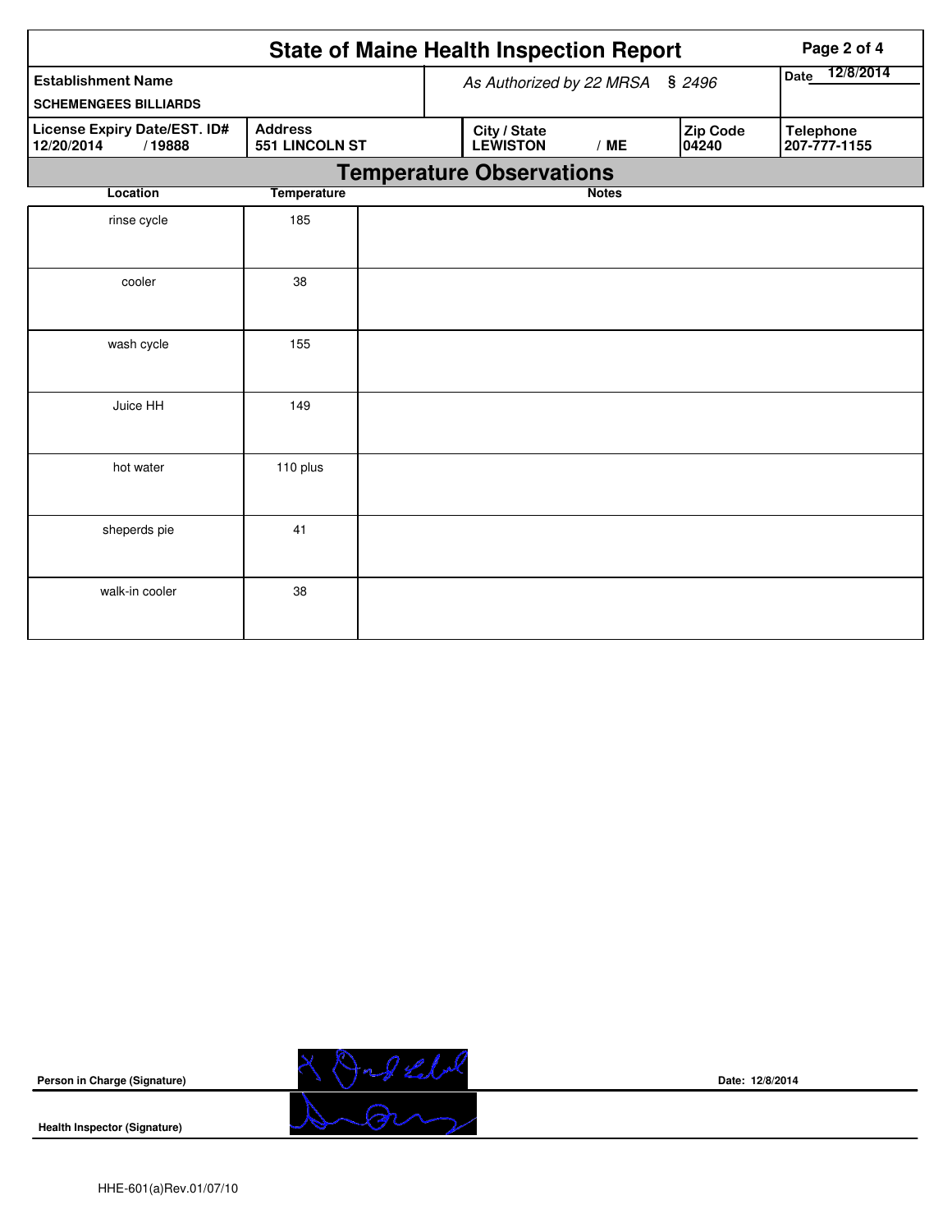|                                                           | Page 2 of 4                      |                                 |              |                          |                                  |
|-----------------------------------------------------------|----------------------------------|---------------------------------|--------------|--------------------------|----------------------------------|
| <b>Establishment Name</b><br><b>SCHEMENGEES BILLIARDS</b> |                                  | As Authorized by 22 MRSA        |              | \$2496                   | Date 12/8/2014                   |
| License Expiry Date/EST. ID#<br>12/20/2014<br>/19888      | <b>Address</b><br>551 LINCOLN ST | City / State<br><b>LEWISTON</b> | /ME          | <b>Zip Code</b><br>04240 | <b>Telephone</b><br>207-777-1155 |
|                                                           |                                  | <b>Temperature Observations</b> |              |                          |                                  |
| Location                                                  | <b>Temperature</b>               |                                 | <b>Notes</b> |                          |                                  |
| rinse cycle                                               | 185                              |                                 |              |                          |                                  |
| cooler                                                    | 38                               |                                 |              |                          |                                  |
| wash cycle                                                | 155                              |                                 |              |                          |                                  |
| Juice HH                                                  | 149                              |                                 |              |                          |                                  |
| hot water                                                 | 110 plus                         |                                 |              |                          |                                  |
| sheperds pie                                              | 41                               |                                 |              |                          |                                  |
| walk-in cooler                                            | 38                               |                                 |              |                          |                                  |



**Date: 12/8/2014**

**Health Inspector (Signature)**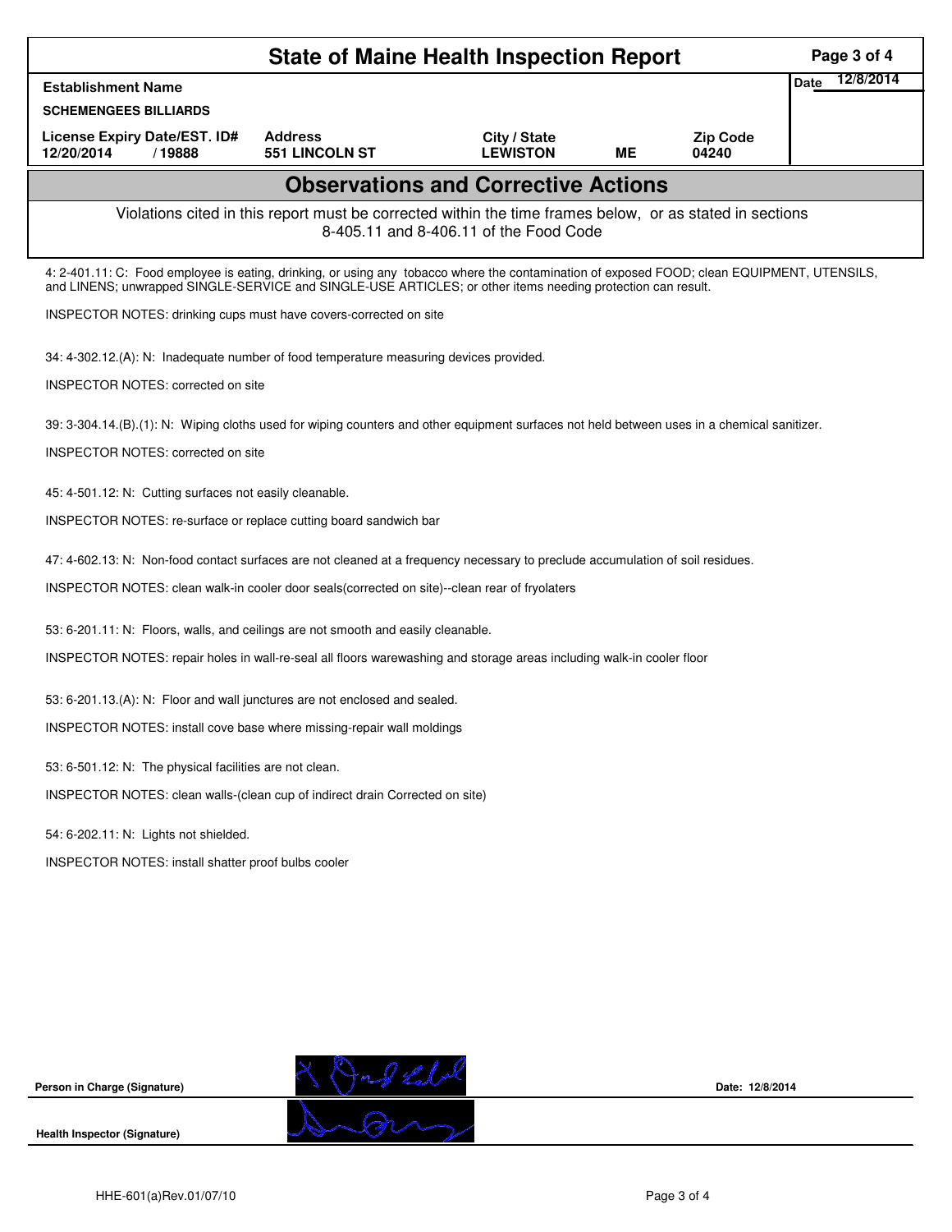| <b>State of Maine Health Inspection Report</b>                                                                                                                                                                                                             |                                         |                                 |    |                          |                   |  |  |  |
|------------------------------------------------------------------------------------------------------------------------------------------------------------------------------------------------------------------------------------------------------------|-----------------------------------------|---------------------------------|----|--------------------------|-------------------|--|--|--|
| <b>Establishment Name</b>                                                                                                                                                                                                                                  |                                         |                                 |    |                          | 12/8/2014<br>Date |  |  |  |
| <b>SCHEMENGEES BILLIARDS</b>                                                                                                                                                                                                                               |                                         |                                 |    |                          |                   |  |  |  |
| License Expiry Date/EST. ID#<br>12/20/2014<br>/19888                                                                                                                                                                                                       | <b>Address</b><br><b>551 LINCOLN ST</b> | City / State<br><b>LEWISTON</b> | ME | <b>Zip Code</b><br>04240 |                   |  |  |  |
| <b>Observations and Corrective Actions</b>                                                                                                                                                                                                                 |                                         |                                 |    |                          |                   |  |  |  |
| Violations cited in this report must be corrected within the time frames below, or as stated in sections<br>8-405.11 and 8-406.11 of the Food Code                                                                                                         |                                         |                                 |    |                          |                   |  |  |  |
| 4: 2-401.11: C: Food employee is eating, drinking, or using any tobacco where the contamination of exposed FOOD; clean EQUIPMENT, UTENSILS,<br>and LINENS; unwrapped SINGLE-SERVICE and SINGLE-USE ARTICLES; or other items needing protection can result. |                                         |                                 |    |                          |                   |  |  |  |
| INSPECTOR NOTES: drinking cups must have covers-corrected on site                                                                                                                                                                                          |                                         |                                 |    |                          |                   |  |  |  |
| 34: 4-302.12.(A): N: Inadequate number of food temperature measuring devices provided.                                                                                                                                                                     |                                         |                                 |    |                          |                   |  |  |  |
| <b>INSPECTOR NOTES: corrected on site</b>                                                                                                                                                                                                                  |                                         |                                 |    |                          |                   |  |  |  |
| 39: 3-304.14.(B).(1): N: Wiping cloths used for wiping counters and other equipment surfaces not held between uses in a chemical sanitizer.                                                                                                                |                                         |                                 |    |                          |                   |  |  |  |
| <b>INSPECTOR NOTES: corrected on site</b>                                                                                                                                                                                                                  |                                         |                                 |    |                          |                   |  |  |  |
| 45: 4-501.12: N: Cutting surfaces not easily cleanable.                                                                                                                                                                                                    |                                         |                                 |    |                          |                   |  |  |  |
| INSPECTOR NOTES: re-surface or replace cutting board sandwich bar                                                                                                                                                                                          |                                         |                                 |    |                          |                   |  |  |  |
| 47: 4-602.13: N: Non-food contact surfaces are not cleaned at a frequency necessary to preclude accumulation of soil residues.                                                                                                                             |                                         |                                 |    |                          |                   |  |  |  |
| INSPECTOR NOTES: clean walk-in cooler door seals(corrected on site)--clean rear of fryolaters                                                                                                                                                              |                                         |                                 |    |                          |                   |  |  |  |
| 53: 6-201.11: N: Floors, walls, and ceilings are not smooth and easily cleanable.                                                                                                                                                                          |                                         |                                 |    |                          |                   |  |  |  |
| INSPECTOR NOTES: repair holes in wall-re-seal all floors warewashing and storage areas including walk-in cooler floor                                                                                                                                      |                                         |                                 |    |                          |                   |  |  |  |
| 53: 6-201.13.(A): N: Floor and wall junctures are not enclosed and sealed.                                                                                                                                                                                 |                                         |                                 |    |                          |                   |  |  |  |
| INSPECTOR NOTES: install cove base where missing-repair wall moldings                                                                                                                                                                                      |                                         |                                 |    |                          |                   |  |  |  |
| 53: 6-501.12: N: The physical facilities are not clean.                                                                                                                                                                                                    |                                         |                                 |    |                          |                   |  |  |  |
| INSPECTOR NOTES: clean walls-(clean cup of indirect drain Corrected on site)                                                                                                                                                                               |                                         |                                 |    |                          |                   |  |  |  |
| 54: 6-202.11: N: Lights not shielded.                                                                                                                                                                                                                      |                                         |                                 |    |                          |                   |  |  |  |
| INSPECTOR NOTES: install shatter proof bulbs cooler                                                                                                                                                                                                        |                                         |                                 |    |                          |                   |  |  |  |
|                                                                                                                                                                                                                                                            |                                         |                                 |    |                          |                   |  |  |  |
|                                                                                                                                                                                                                                                            |                                         |                                 |    |                          |                   |  |  |  |
|                                                                                                                                                                                                                                                            |                                         |                                 |    |                          |                   |  |  |  |
|                                                                                                                                                                                                                                                            |                                         |                                 |    |                          |                   |  |  |  |
|                                                                                                                                                                                                                                                            |                                         |                                 |    |                          |                   |  |  |  |
| Person in Charge (Signature)                                                                                                                                                                                                                               | Jagedd                                  |                                 |    | Date: 12/8/2014          |                   |  |  |  |

**Health Inspector (Signature)** 

ron